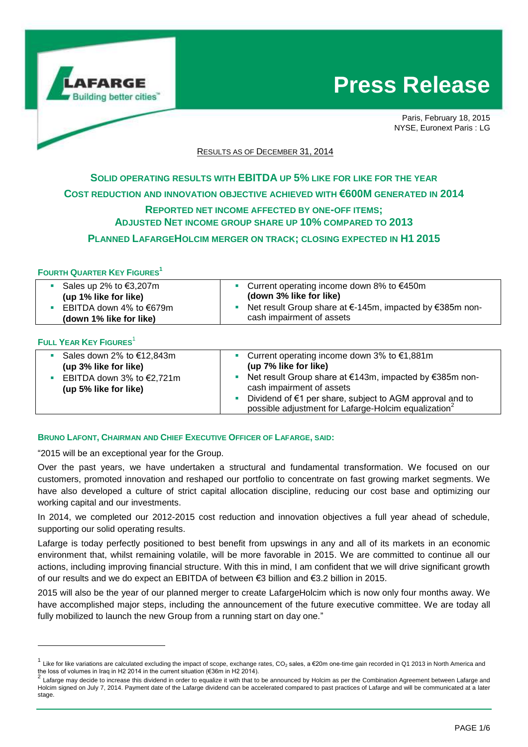

**Press Release**

Paris, February 18, 2015 NYSE, Euronext Paris : LG

RESULTS AS OF DECEMBER 31, 2014

# **SOLID OPERATING RESULTS WITH EBITDA UP 5% LIKE FOR LIKE FOR THE YEAR COST REDUCTION AND INNOVATION OBJECTIVE ACHIEVED WITH €600M GENERATED IN 2014**

## **REPORTED NET INCOME AFFECTED BY ONE-OFF ITEMS; ADJUSTED NET INCOME GROUP SHARE UP 10% COMPARED TO 2013**

**PLANNED LAFARGEHOLCIM MERGER ON TRACK; CLOSING EXPECTED IN H1 2015**

### **FOURTH QUARTER KEY FIGURES<sup>1</sup>**

| Sales up 2% to €3,207m<br>(up 1% like for like)      | Current operating income down 8% to €450m<br>(down 3% like for like)                  |
|------------------------------------------------------|---------------------------------------------------------------------------------------|
| EBITDA down 4% to $€679m$<br>(down 1% like for like) | Net result Group share at €-145m, impacted by €385m non-<br>cash impairment of assets |

#### **FULL YEAR KEY FIGURES**<sup>1</sup>

l

| Sales down 2% to €12,843m           | Current operating income down 3% to $€1,881m$                                                                                |
|-------------------------------------|------------------------------------------------------------------------------------------------------------------------------|
| (up 3% like for like)               | (up 7% like for like)                                                                                                        |
| EBITDA down 3% to $\epsilon$ 2,721m | Net result Group share at €143m, impacted by €385m non-                                                                      |
| (up 5% like for like)               | cash impairment of assets                                                                                                    |
|                                     | Dividend of €1 per share, subject to AGM approval and to<br>possible adjustment for Lafarge-Holcim equalization <sup>2</sup> |

#### **BRUNO LAFONT, CHAIRMAN AND CHIEF EXECUTIVE OFFICER OF LAFARGE, SAID:**

"2015 will be an exceptional year for the Group.

Over the past years, we have undertaken a structural and fundamental transformation. We focused on our customers, promoted innovation and reshaped our portfolio to concentrate on fast growing market segments. We have also developed a culture of strict capital allocation discipline, reducing our cost base and optimizing our working capital and our investments.

In 2014, we completed our 2012-2015 cost reduction and innovation objectives a full year ahead of schedule, supporting our solid operating results.

Lafarge is today perfectly positioned to best benefit from upswings in any and all of its markets in an economic environment that, whilst remaining volatile, will be more favorable in 2015. We are committed to continue all our actions, including improving financial structure. With this in mind, I am confident that we will drive significant growth of our results and we do expect an EBITDA of between €3 billion and €3.2 billion in 2015.

2015 will also be the year of our planned merger to create LafargeHolcim which is now only four months away. We have accomplished major steps, including the announcement of the future executive committee. We are today all fully mobilized to launch the new Group from a running start on day one."

<sup>1</sup> Like for like variations are calculated excluding the impact of scope, exchange rates, CO<sub>2</sub> sales, a €20m one-time gain recorded in Q1 2013 in North America and the loss of volumes in Iraq in H2 2014 in the current situation (€36m in H2 2014).<br><sup>2</sup> Lefanna masu darida to increase this dividend in ander to a muslima it with that to

Lafarge may decide to increase this dividend in order to equalize it with that to be announced by Holcim as per the Combination Agreement between Lafarge and Holcim signed on July 7, 2014. Payment date of the Lafarge dividend can be accelerated compared to past practices of Lafarge and will be communicated at a later stage.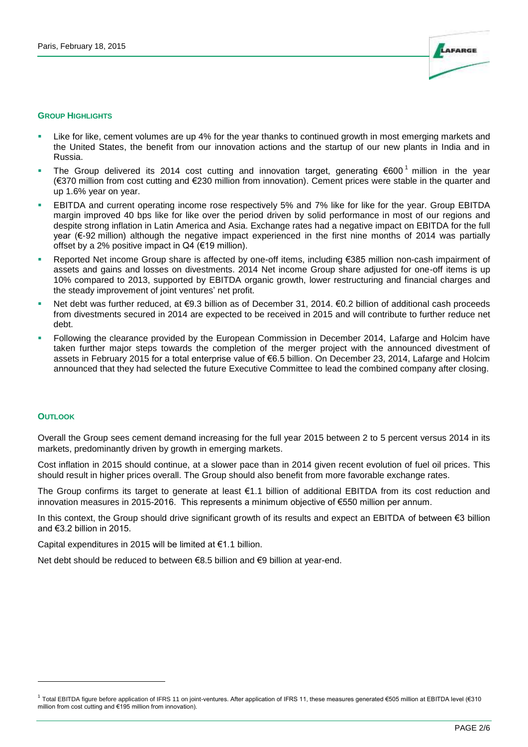

#### **GROUP HIGHLIGHTS**

- Like for like, cement volumes are up 4% for the year thanks to continued growth in most emerging markets and the United States, the benefit from our innovation actions and the startup of our new plants in India and in Russia.
- The Group delivered its 2014 cost cutting and innovation target, generating  $\epsilon$ 600<sup>1</sup> million in the year (€370 million from cost cutting and €230 million from innovation). Cement prices were stable in the quarter and up 1.6% year on year.
- EBITDA and current operating income rose respectively 5% and 7% like for like for the year. Group EBITDA margin improved 40 bps like for like over the period driven by solid performance in most of our regions and despite strong inflation in Latin America and Asia. Exchange rates had a negative impact on EBITDA for the full year (€-92 million) although the negative impact experienced in the first nine months of 2014 was partially offset by a 2% positive impact in  $Q4$  ( $\epsilon$ 19 million).
- Reported Net income Group share is affected by one-off items, including €385 million non-cash impairment of assets and gains and losses on divestments. 2014 Net income Group share adjusted for one-off items is up 10% compared to 2013, supported by EBITDA organic growth, lower restructuring and financial charges and the steady improvement of joint ventures' net profit.
- Net debt was further reduced, at €9.3 billion as of December 31, 2014. €0.2 billion of additional cash proceeds from divestments secured in 2014 are expected to be received in 2015 and will contribute to further reduce net debt.
- Following the clearance provided by the European Commission in December 2014, Lafarge and Holcim have taken further major steps towards the completion of the merger project with the announced divestment of assets in February 2015 for a total enterprise value of €6.5 billion. On December 23, 2014, Lafarge and Holcim announced that they had selected the future Executive Committee to lead the combined company after closing.

#### **OUTLOOK**

l

Overall the Group sees cement demand increasing for the full year 2015 between 2 to 5 percent versus 2014 in its markets, predominantly driven by growth in emerging markets.

Cost inflation in 2015 should continue, at a slower pace than in 2014 given recent evolution of fuel oil prices. This should result in higher prices overall. The Group should also benefit from more favorable exchange rates.

The Group confirms its target to generate at least €1.1 billion of additional EBITDA from its cost reduction and innovation measures in 2015-2016. This represents a minimum objective of €550 million per annum.

In this context, the Group should drive significant growth of its results and expect an EBITDA of between €3 billion and €3.2 billion in 2015.

Capital expenditures in 2015 will be limited at €1.1 billion.

Net debt should be reduced to between €8.5 billion and €9 billion at year-end.

<sup>&</sup>lt;sup>1</sup> Total EBITDA figure before application of IFRS 11 on joint-ventures. After application of IFRS 11, these measures generated €505 million at EBITDA level (€310 million from cost cutting and €195 million from innovation).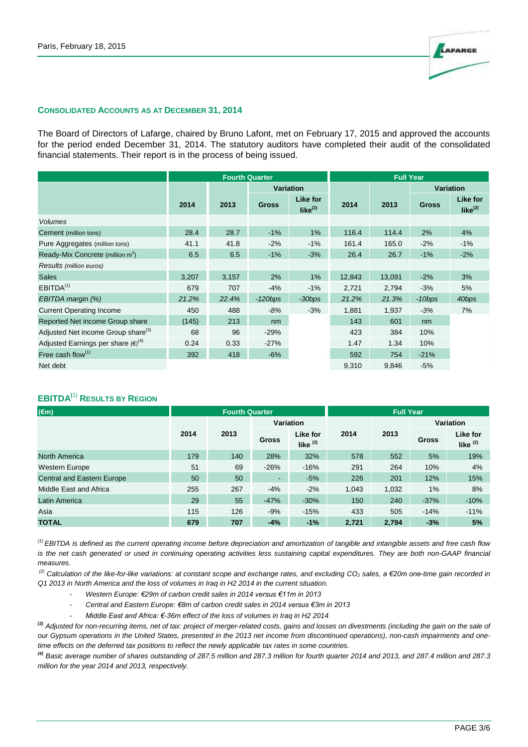

#### **CONSOLIDATED ACCOUNTS AS AT DECEMBER 31, 2014**

The Board of Directors of Lafarge, chaired by Bruno Lafont, met on February 17, 2015 and approved the accounts for the period ended December 31, 2014. The statutory auditors have completed their audit of the consolidated financial statements. Their report is in the process of being issued.

|                                                | <b>Fourth Quarter</b> |       |              |                                 | <b>Full Year</b> |        |                  |                                 |
|------------------------------------------------|-----------------------|-------|--------------|---------------------------------|------------------|--------|------------------|---------------------------------|
|                                                |                       |       |              | <b>Variation</b>                |                  |        | <b>Variation</b> |                                 |
|                                                | 2014                  | 2013  | <b>Gross</b> | Like for<br>like <sup>(2)</sup> | 2014             | 2013   | <b>Gross</b>     | Like for<br>like <sup>(2)</sup> |
| <b>Volumes</b>                                 |                       |       |              |                                 |                  |        |                  |                                 |
| Cement (million tons)                          | 28.4                  | 28.7  | $-1%$        | 1%                              | 116.4            | 114.4  | 2%               | 4%                              |
| Pure Aggregates (million tons)                 | 41.1                  | 41.8  | $-2%$        | $-1%$                           | 161.4            | 165.0  | $-2%$            | $-1%$                           |
| Ready-Mix Concrete (million m <sup>3</sup> )   | 6.5                   | 6.5   | $-1%$        | $-3%$                           | 26.4             | 26.7   | $-1%$            | $-2%$                           |
| Results (million euros)                        |                       |       |              |                                 |                  |        |                  |                                 |
| <b>Sales</b>                                   | 3,207                 | 3,157 | 2%           | 1%                              | 12,843           | 13,091 | $-2%$            | 3%                              |
| EBITDA <sup>(1)</sup>                          | 679                   | 707   | $-4%$        | $-1%$                           | 2,721            | 2,794  | $-3%$            | 5%                              |
| EBITDA margin (%)                              | 21.2%                 | 22.4% | $-120bps$    | $-30$ bps                       | 21.2%            | 21.3%  | $-10bps$         | 40bps                           |
| <b>Current Operating Income</b>                | 450                   | 488   | $-8%$        | $-3%$                           | 1,881            | 1,937  | $-3%$            | 7%                              |
| Reported Net income Group share                | (145)                 | 213   | nm           |                                 | 143              | 601    | nm               |                                 |
| Adjusted Net income Group share <sup>(3)</sup> | 68                    | 96    | $-29%$       |                                 | 423              | 384    | 10%              |                                 |
| Adjusted Earnings per share $(\epsilon)^{(4)}$ | 0.24                  | 0.33  | $-27%$       |                                 | 1.47             | 1.34   | 10%              |                                 |
| Free cash flow $(1)$                           | 392                   | 418   | $-6%$        |                                 | 592              | 754    | $-21%$           |                                 |
| Net debt                                       |                       |       |              |                                 | 9.310            | 9,846  | $-5%$            |                                 |

## **EBITDA(**1) **RESULTS BY REGION**

| $(\epsilon m)$                    | <b>Fourth Quarter</b> |      |           | <b>Full Year</b>       |       |       |                  |                        |
|-----------------------------------|-----------------------|------|-----------|------------------------|-------|-------|------------------|------------------------|
|                                   | 2014                  | 2013 | Variation |                        |       |       | <b>Variation</b> |                        |
|                                   |                       |      | Gross     | Like for<br>like $(2)$ | 2014  | 2013  | <b>Gross</b>     | Like for<br>like $(2)$ |
| North America                     | 179                   | 140  | 28%       | 32%                    | 578   | 552   | 5%               | 19%                    |
| Western Europe                    | 51                    | 69   | $-26%$    | $-16%$                 | 291   | 264   | 10%              | 4%                     |
| <b>Central and Eastern Europe</b> | 50                    | 50   | ٠         | $-5%$                  | 226   | 201   | 12%              | 15%                    |
| Middle East and Africa            | 255                   | 267  | $-4%$     | $-2%$                  | 1,043 | 1,032 | $1\%$            | 8%                     |
| Latin America                     | 29                    | 55   | $-47%$    | $-30%$                 | 150   | 240   | $-37%$           | $-10%$                 |
| Asia                              | 115                   | 126  | $-9%$     | $-15%$                 | 433   | 505   | $-14%$           | $-11%$                 |
| <b>TOTAL</b>                      | 679                   | 707  | $-4%$     | $-1%$                  | 2.721 | 2.794 | $-3%$            | 5%                     |

*(1) EBITDA is defined as the current operating income before depreciation and amortization of tangible and intangible assets and free cash flow is the net cash generated or used in continuing operating activities less sustaining capital expenditures. They are both non-GAAP financial measures.*

*(2) Calculation of the like-for-like variations: at constant scope and exchange rates, and excluding CO<sup>2</sup> sales, a €20m one-time gain recorded in Q1 2013 in North America and the loss of volumes in Iraq in H2 2014 in the current situation.*

- *Western Europe: €29m of carbon credit sales in 2014 versus €11m in 2013*
- *Central and Eastern Europe: €8m of carbon credit sales in 2014 versus €3m in 2013*
- *Middle East and Africa: €-36m effect of the loss of volumes in Iraq in H2 2014*

*(3) Adjusted for non-recurring items, net of tax: project of merger-related costs, gains and losses on divestments (including the gain on the sale of*  our Gypsum operations in the United States, presented in the 2013 net income from discontinued operations), non-cash impairments and one*time effects on the deferred tax positions to reflect the newly applicable tax rates in some countries.*

*(4) Basic average number of shares outstanding of 287.5 million and 287.3 million for fourth quarter 2014 and 2013, and 287.4 million and 287.3 million for the year 2014 and 2013, respectively.*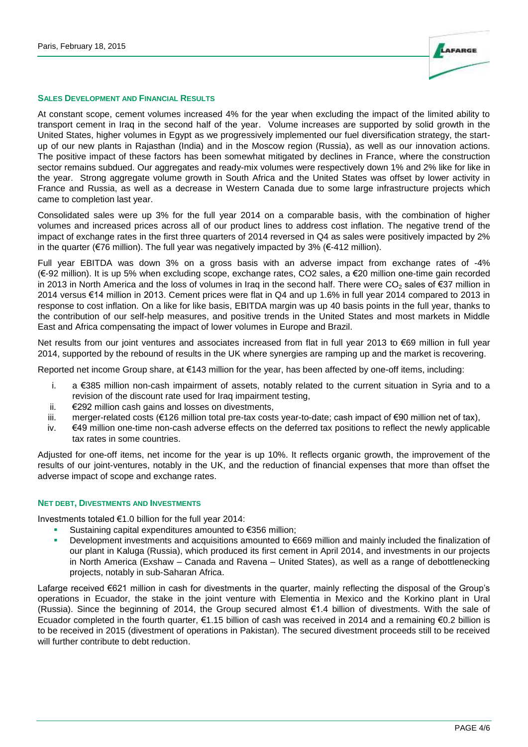

#### **SALES DEVELOPMENT AND FINANCIAL RESULTS**

At constant scope, cement volumes increased 4% for the year when excluding the impact of the limited ability to transport cement in Iraq in the second half of the year. Volume increases are supported by solid growth in the United States, higher volumes in Egypt as we progressively implemented our fuel diversification strategy, the startup of our new plants in Rajasthan (India) and in the Moscow region (Russia), as well as our innovation actions. The positive impact of these factors has been somewhat mitigated by declines in France, where the construction sector remains subdued. Our aggregates and ready-mix volumes were respectively down 1% and 2% like for like in the year. Strong aggregate volume growth in South Africa and the United States was offset by lower activity in France and Russia, as well as a decrease in Western Canada due to some large infrastructure projects which came to completion last year.

Consolidated sales were up 3% for the full year 2014 on a comparable basis, with the combination of higher volumes and increased prices across all of our product lines to address cost inflation. The negative trend of the impact of exchange rates in the first three quarters of 2014 reversed in Q4 as sales were positively impacted by 2% in the quarter ( $\epsilon$ 76 million). The full year was negatively impacted by 3% ( $\epsilon$ -412 million).

Full year EBITDA was down 3% on a gross basis with an adverse impact from exchange rates of -4% (€-92 million). It is up 5% when excluding scope, exchange rates, CO2 sales, a €20 million one-time gain recorded in 2013 in North America and the loss of volumes in Iraq in the second half. There were  $CO<sub>2</sub>$  sales of €37 million in 2014 versus €14 million in 2013. Cement prices were flat in Q4 and up 1.6% in full year 2014 compared to 2013 in response to cost inflation. On a like for like basis, EBITDA margin was up 40 basis points in the full year, thanks to the contribution of our self-help measures, and positive trends in the United States and most markets in Middle East and Africa compensating the impact of lower volumes in Europe and Brazil.

Net results from our joint ventures and associates increased from flat in full year 2013 to €69 million in full year 2014, supported by the rebound of results in the UK where synergies are ramping up and the market is recovering.

Reported net income Group share, at €143 million for the year, has been affected by one-off items, including:

- i. a €385 million non-cash impairment of assets, notably related to the current situation in Syria and to a revision of the discount rate used for Iraq impairment testing,
- ii. €292 million cash gains and losses on divestments,
- iii. merger-related costs (€126 million total pre-tax costs year-to-date; cash impact of €90 million net of tax),
- iv. €49 million one-time non-cash adverse effects on the deferred tax positions to reflect the newly applicable tax rates in some countries.

Adjusted for one-off items, net income for the year is up 10%. It reflects organic growth, the improvement of the results of our joint-ventures, notably in the UK, and the reduction of financial expenses that more than offset the adverse impact of scope and exchange rates.

#### **NET DEBT, DIVESTMENTS AND INVESTMENTS**

Investments totaled €1.0 billion for the full year 2014:

- Sustaining capital expenditures amounted to €356 million;
- Development investments and acquisitions amounted to €669 million and mainly included the finalization of our plant in Kaluga (Russia), which produced its first cement in April 2014, and investments in our projects in North America (Exshaw – Canada and Ravena – United States), as well as a range of debottlenecking projects, notably in sub-Saharan Africa.

Lafarge received €621 million in cash for divestments in the quarter, mainly reflecting the disposal of the Group's operations in Ecuador, the stake in the joint venture with Elementia in Mexico and the Korkino plant in Ural (Russia). Since the beginning of 2014, the Group secured almost €1.4 billion of divestments. With the sale of Ecuador completed in the fourth quarter, €1.15 billion of cash was received in 2014 and a remaining €0.2 billion is to be received in 2015 (divestment of operations in Pakistan). The secured divestment proceeds still to be received will further contribute to debt reduction.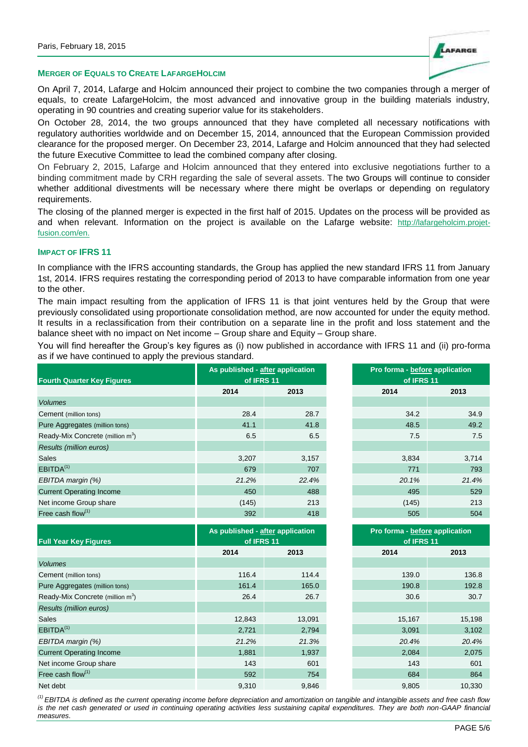

#### **MERGER OF EQUALS TO CREATE LAFARGEHOLCIM**

On April 7, 2014, Lafarge and Holcim announced their project to combine the two companies through a merger of equals, to create LafargeHolcim, the most advanced and innovative group in the building materials industry, operating in 90 countries and creating superior value for its stakeholders.

On October 28, 2014, the two groups announced that they have completed all necessary notifications with regulatory authorities worldwide and on December 15, 2014, announced that the European Commission provided clearance for the proposed merger. On December 23, 2014, Lafarge and Holcim announced that they had selected the future Executive Committee to lead the combined company after closing.

On February 2, 2015, Lafarge and Holcim announced that they entered into exclusive negotiations further to a binding commitment made by CRH regarding the sale of several assets. The two Groups will continue to consider whether additional divestments will be necessary where there might be overlaps or depending on regulatory requirements.

The closing of the planned merger is expected in the first half of 2015. Updates on the process will be provided as and when relevant. Information on the project is available on the Lafarge website: http://lafargeholcim.projetfusion.com/en.

### **IMPACT OF IFRS 11**

In compliance with the IFRS accounting standards, the Group has applied the new standard IFRS 11 from January 1st, 2014. IFRS requires restating the corresponding period of 2013 to have comparable information from one year to the other.

The main impact resulting from the application of IFRS 11 is that joint ventures held by the Group that were previously consolidated using proportionate consolidation method, are now accounted for under the equity method. It results in a reclassification from their contribution on a separate line in the profit and loss statement and the balance sheet with no impact on Net income – Group share and Equity – Group share.

You will find hereafter the Group's key figures as (i) now published in accordance with IFRS 11 and (ii) pro-forma as if we have continued to apply the previous standard.

| <b>Fourth Quarter Key Figures</b>            | As published - after application<br>of IFRS 11 |       | Pro forma - before application<br>of IFRS 11 |                 |  |
|----------------------------------------------|------------------------------------------------|-------|----------------------------------------------|-----------------|--|
|                                              | 2014                                           | 2013  | 2014                                         | 2013            |  |
| <b>Volumes</b>                               |                                                |       |                                              |                 |  |
| Cement (million tons)                        | 28.4                                           | 28.7  | 34.2                                         | 34.9            |  |
| Pure Aggregates (million tons)               | 41.1                                           | 41.8  | 48.5                                         | 49.2            |  |
| Ready-Mix Concrete (million m <sup>3</sup> ) | 6.5                                            | 6.5   | 7.5                                          | 7.5             |  |
| Results (million euros)                      |                                                |       |                                              |                 |  |
| <b>Sales</b>                                 | 3,207                                          | 3,157 | 3,834                                        | 3,714           |  |
| EBITDA <sup>(1)</sup>                        | 679                                            | 707   | 771                                          | 793             |  |
| EBITDA margin (%)                            | 21.2%                                          | 22.4% | 20.1%                                        | 21.4%           |  |
| <b>Current Operating Income</b>              | 450                                            | 488   | 495                                          | 52 <sup>C</sup> |  |
| Net income Group share                       | (145)                                          | 213   | (145)                                        | 213             |  |
| Free cash flow $(1)$                         | 392                                            | 418   | 505                                          | 504             |  |

| of IFRS 11   | published - <u>after</u> application | Pro forma - before application<br>of IFRS 11 |            |
|--------------|--------------------------------------|----------------------------------------------|------------|
| 2013<br>2014 |                                      | 2014                                         | 2013       |
|              |                                      |                                              |            |
| 28.4         | 28.7                                 | 34.2                                         | 34.9       |
| 41.1         | 41.8                                 | 48.5                                         | 49.2       |
| 6.5          | 6.5                                  | 7.5                                          | 7.5        |
|              |                                      |                                              |            |
| 3,207        | 3,157                                | 3,834                                        | 3,714      |
| 679          | 707                                  | 771                                          | 793        |
| 21.2%        | 22.4%                                | 20.1%                                        | 21.4%      |
| 450          | 488                                  | 495                                          | 529        |
| (145)        | 213                                  | (145)                                        | 213        |
| 200          | $\overline{AB}$                      | EDE                                          | $E \cap A$ |

|                                              |        | As published - after application | Pro forma - before application |        |  |
|----------------------------------------------|--------|----------------------------------|--------------------------------|--------|--|
| <b>Full Year Key Figures</b>                 |        | of IFRS 11                       | of IFRS 11                     |        |  |
|                                              | 2014   | 2013                             | 2014                           | 2013   |  |
| <b>Volumes</b>                               |        |                                  |                                |        |  |
| Cement (million tons)                        | 116.4  | 114.4                            | 139.0                          | 136.8  |  |
| Pure Aggregates (million tons)               | 161.4  | 165.0                            | 190.8                          | 192.8  |  |
| Ready-Mix Concrete (million m <sup>3</sup> ) | 26.4   | 26.7                             | 30.6                           | 30.7   |  |
| Results (million euros)                      |        |                                  |                                |        |  |
| <b>Sales</b>                                 | 12,843 | 13,091                           | 15,167                         | 15,198 |  |
| EBITDA <sup>(1)</sup>                        | 2,721  | 2,794                            | 3,091                          | 3,102  |  |
| EBITDA margin (%)                            | 21.2%  | 21.3%                            | 20.4%                          | 20.4%  |  |
| <b>Current Operating Income</b>              | 1,881  | 1,937                            | 2,084                          | 2,075  |  |
| Net income Group share                       | 143    | 601                              | 143                            | 601    |  |
| Free cash flow $(1)$                         | 592    | 754                              | 684                            | 864    |  |
| Net debt                                     | 9,310  | 9,846                            | 9,805                          | 10,330 |  |

|              | oublished - after application | Pro forma - before application |        |  |  |
|--------------|-------------------------------|--------------------------------|--------|--|--|
| of IFRS 11   |                               | of IFRS 11                     |        |  |  |
| 2013<br>2014 |                               | 2014                           | 2013   |  |  |
|              |                               |                                |        |  |  |
| 116.4        | 114.4                         | 139.0                          | 136.8  |  |  |
| 161.4        | 165.0                         | 190.8                          | 192.8  |  |  |
| 26.4         | 26.7                          | 30.6                           | 30.7   |  |  |
|              |                               |                                |        |  |  |
| 12,843       | 13,091                        | 15,167                         | 15,198 |  |  |
| 2,721        | 2,794                         | 3,091                          | 3,102  |  |  |
| 21.2%        | 21.3%                         | 20.4%                          | 20.4%  |  |  |
| 1,881        | 1,937                         | 2,084                          | 2,075  |  |  |
| 143          | 601                           | 143                            | 601    |  |  |
| 592          | 754                           | 684                            | 864    |  |  |
| 9,310        | 9,846                         | 9,805                          | 10,330 |  |  |

*(1) EBITDA is defined as the current operating income before depreciation and amortization on tangible and intangible assets and free cash flow is the net cash generated or used in continuing operating activities less sustaining capital expenditures. They are both non-GAAP financial measures.*